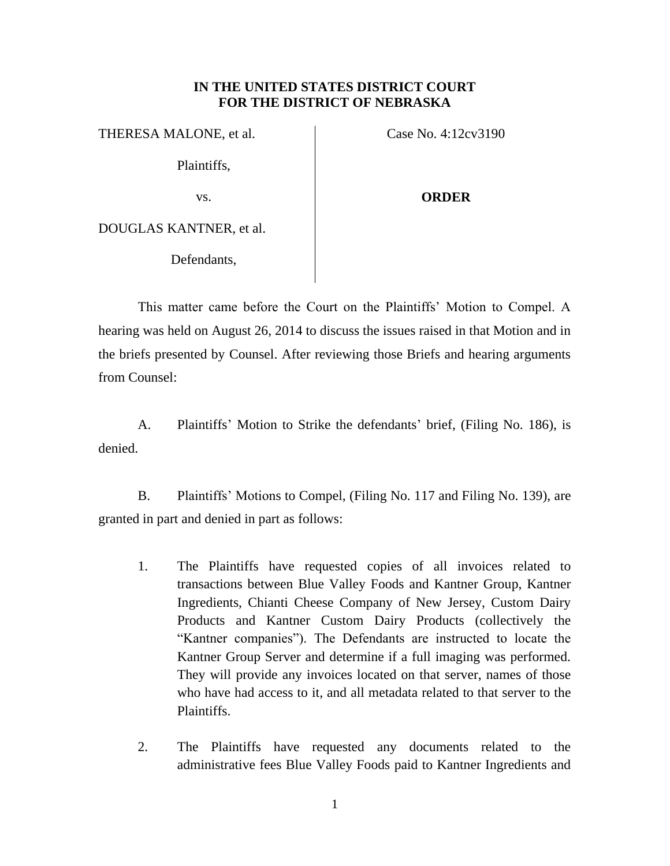## **IN THE UNITED STATES DISTRICT COURT FOR THE DISTRICT OF NEBRASKA**

THERESA MALONE, et al.

Plaintiffs,

Case No. 4:12cv3190

## vs.

## **ORDER**

DOUGLAS KANTNER, et al.

Defendants,

This matter came before the Court on the Plaintiffs' Motion to Compel. A hearing was held on August 26, 2014 to discuss the issues raised in that Motion and in the briefs presented by Counsel. After reviewing those Briefs and hearing arguments from Counsel:

A. Plaintiffs' Motion to Strike the defendants' brief, (Filing No. 186), is denied.

B. Plaintiffs' Motions to Compel, (Filing No. 117 and Filing No. 139), are granted in part and denied in part as follows:

- 1. The Plaintiffs have requested copies of all invoices related to transactions between Blue Valley Foods and Kantner Group, Kantner Ingredients, Chianti Cheese Company of New Jersey, Custom Dairy Products and Kantner Custom Dairy Products (collectively the "Kantner companies"). The Defendants are instructed to locate the Kantner Group Server and determine if a full imaging was performed. They will provide any invoices located on that server, names of those who have had access to it, and all metadata related to that server to the Plaintiffs.
- 2. The Plaintiffs have requested any documents related to the administrative fees Blue Valley Foods paid to Kantner Ingredients and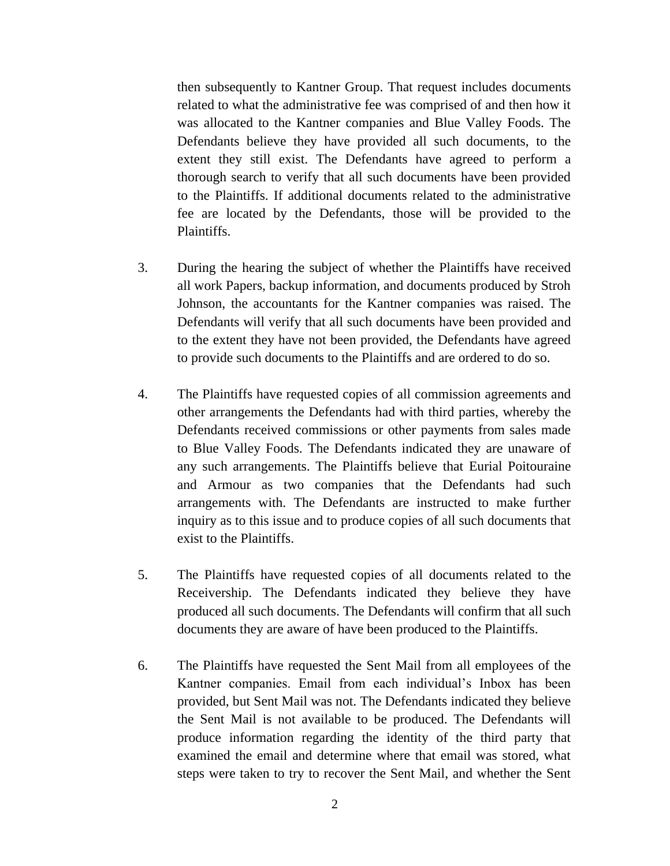then subsequently to Kantner Group. That request includes documents related to what the administrative fee was comprised of and then how it was allocated to the Kantner companies and Blue Valley Foods. The Defendants believe they have provided all such documents, to the extent they still exist. The Defendants have agreed to perform a thorough search to verify that all such documents have been provided to the Plaintiffs. If additional documents related to the administrative fee are located by the Defendants, those will be provided to the Plaintiffs.

- 3. During the hearing the subject of whether the Plaintiffs have received all work Papers, backup information, and documents produced by Stroh Johnson, the accountants for the Kantner companies was raised. The Defendants will verify that all such documents have been provided and to the extent they have not been provided, the Defendants have agreed to provide such documents to the Plaintiffs and are ordered to do so.
- 4. The Plaintiffs have requested copies of all commission agreements and other arrangements the Defendants had with third parties, whereby the Defendants received commissions or other payments from sales made to Blue Valley Foods. The Defendants indicated they are unaware of any such arrangements. The Plaintiffs believe that Eurial Poitouraine and Armour as two companies that the Defendants had such arrangements with. The Defendants are instructed to make further inquiry as to this issue and to produce copies of all such documents that exist to the Plaintiffs.
- 5. The Plaintiffs have requested copies of all documents related to the Receivership. The Defendants indicated they believe they have produced all such documents. The Defendants will confirm that all such documents they are aware of have been produced to the Plaintiffs.
- 6. The Plaintiffs have requested the Sent Mail from all employees of the Kantner companies. Email from each individual's Inbox has been provided, but Sent Mail was not. The Defendants indicated they believe the Sent Mail is not available to be produced. The Defendants will produce information regarding the identity of the third party that examined the email and determine where that email was stored, what steps were taken to try to recover the Sent Mail, and whether the Sent